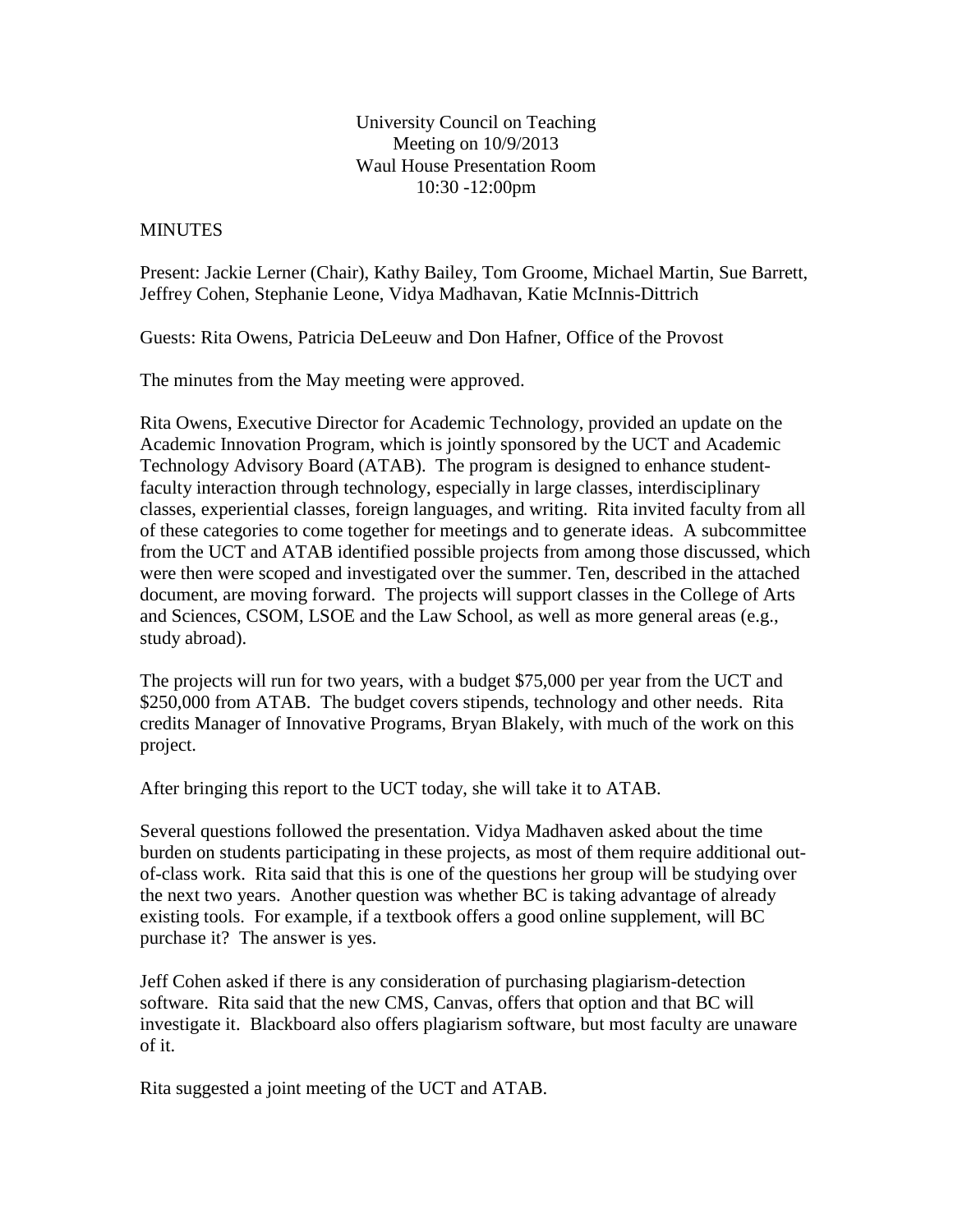## University Council on Teaching Meeting on 10/9/2013 Waul House Presentation Room 10:30 -12:00pm

## **MINUTES**

Present: Jackie Lerner (Chair), Kathy Bailey, Tom Groome, Michael Martin, Sue Barrett, Jeffrey Cohen, Stephanie Leone, Vidya Madhavan, Katie McInnis-Dittrich

Guests: Rita Owens, Patricia DeLeeuw and Don Hafner, Office of the Provost

The minutes from the May meeting were approved.

Rita Owens, Executive Director for Academic Technology, provided an update on the Academic Innovation Program, which is jointly sponsored by the UCT and Academic Technology Advisory Board (ATAB). The program is designed to enhance studentfaculty interaction through technology, especially in large classes, interdisciplinary classes, experiential classes, foreign languages, and writing. Rita invited faculty from all of these categories to come together for meetings and to generate ideas. A subcommittee from the UCT and ATAB identified possible projects from among those discussed, which were then were scoped and investigated over the summer. Ten, described in the attached document, are moving forward. The projects will support classes in the College of Arts and Sciences, CSOM, LSOE and the Law School, as well as more general areas (e.g., study abroad).

The projects will run for two years, with a budget \$75,000 per year from the UCT and \$250,000 from ATAB. The budget covers stipends, technology and other needs. Rita credits Manager of Innovative Programs, Bryan Blakely, with much of the work on this project.

After bringing this report to the UCT today, she will take it to ATAB.

Several questions followed the presentation. Vidya Madhaven asked about the time burden on students participating in these projects, as most of them require additional outof-class work. Rita said that this is one of the questions her group will be studying over the next two years. Another question was whether BC is taking advantage of already existing tools. For example, if a textbook offers a good online supplement, will BC purchase it? The answer is yes.

Jeff Cohen asked if there is any consideration of purchasing plagiarism-detection software. Rita said that the new CMS, Canvas, offers that option and that BC will investigate it. Blackboard also offers plagiarism software, but most faculty are unaware of it.

Rita suggested a joint meeting of the UCT and ATAB.